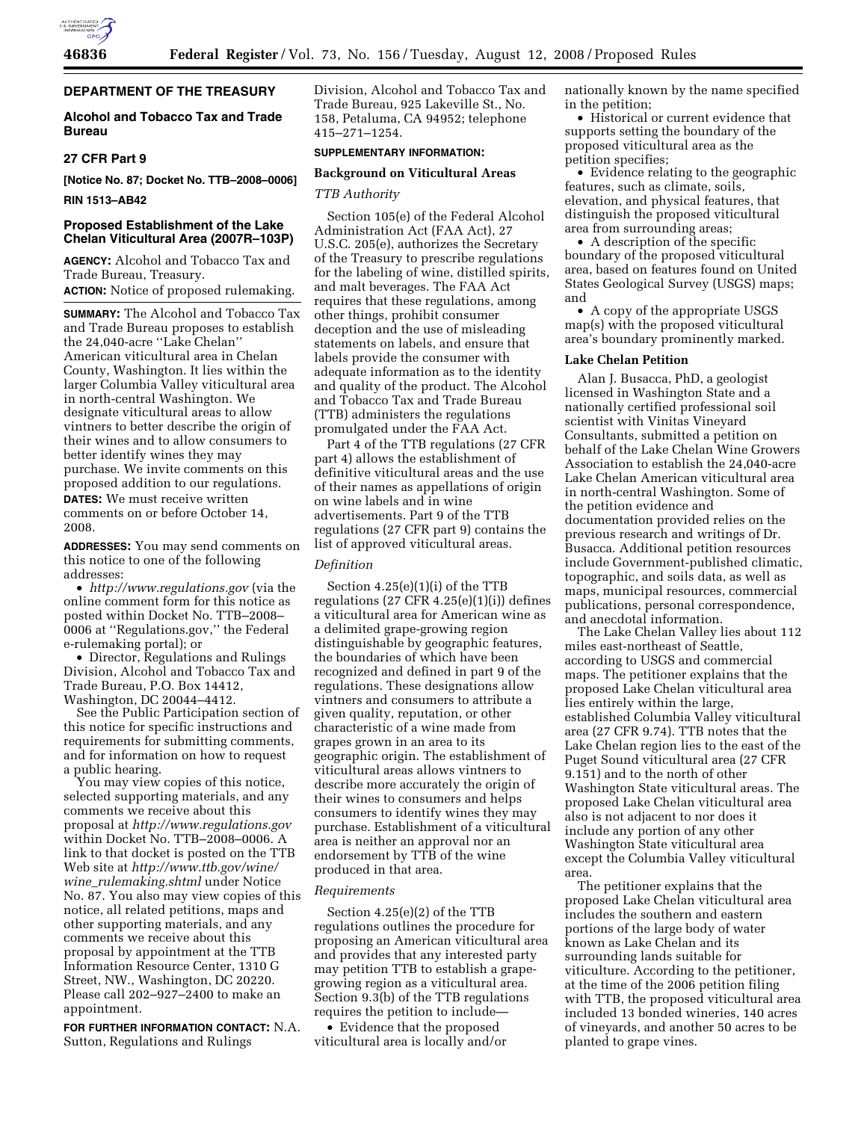

# **DEPARTMENT OF THE TREASURY**

# **Alcohol and Tobacco Tax and Trade Bureau**

## **27 CFR Part 9**

**[Notice No. 87; Docket No. TTB–2008–0006]** 

## **RIN 1513–AB42**

# **Proposed Establishment of the Lake Chelan Viticultural Area (2007R–103P)**

**AGENCY:** Alcohol and Tobacco Tax and Trade Bureau, Treasury. **ACTION:** Notice of proposed rulemaking.

**SUMMARY:** The Alcohol and Tobacco Tax and Trade Bureau proposes to establish the 24,040-acre ''Lake Chelan'' American viticultural area in Chelan County, Washington. It lies within the larger Columbia Valley viticultural area in north-central Washington. We designate viticultural areas to allow vintners to better describe the origin of their wines and to allow consumers to better identify wines they may purchase. We invite comments on this proposed addition to our regulations.

**DATES:** We must receive written comments on or before October 14, 2008.

**ADDRESSES:** You may send comments on this notice to one of the following addresses:

• *http://www.regulations.gov* (via the online comment form for this notice as posted within Docket No. TTB–2008– 0006 at ''Regulations.gov,'' the Federal e-rulemaking portal); or

• Director, Regulations and Rulings Division, Alcohol and Tobacco Tax and Trade Bureau, P.O. Box 14412, Washington, DC 20044–4412.

See the Public Participation section of this notice for specific instructions and requirements for submitting comments, and for information on how to request a public hearing.

You may view copies of this notice, selected supporting materials, and any comments we receive about this proposal at *http://www.regulations.gov*  within Docket No. TTB–2008–0006. A link to that docket is posted on the TTB Web site at *http://www.ttb.gov/wine/ wine*\_*rulemaking.shtml* under Notice No. 87. You also may view copies of this notice, all related petitions, maps and other supporting materials, and any comments we receive about this proposal by appointment at the TTB Information Resource Center, 1310 G Street, NW., Washington, DC 20220. Please call 202–927–2400 to make an appointment.

**FOR FURTHER INFORMATION CONTACT:** N.A. Sutton, Regulations and Rulings

Division, Alcohol and Tobacco Tax and Trade Bureau, 925 Lakeville St., No. 158, Petaluma, CA 94952; telephone 415–271–1254.

# **SUPPLEMENTARY INFORMATION:**

## **Background on Viticultural Areas**

## *TTB Authority*

Section 105(e) of the Federal Alcohol Administration Act (FAA Act), 27 U.S.C. 205(e), authorizes the Secretary of the Treasury to prescribe regulations for the labeling of wine, distilled spirits, and malt beverages. The FAA Act requires that these regulations, among other things, prohibit consumer deception and the use of misleading statements on labels, and ensure that labels provide the consumer with adequate information as to the identity and quality of the product. The Alcohol and Tobacco Tax and Trade Bureau (TTB) administers the regulations promulgated under the FAA Act.

Part 4 of the TTB regulations (27 CFR part 4) allows the establishment of definitive viticultural areas and the use of their names as appellations of origin on wine labels and in wine advertisements. Part 9 of the TTB regulations (27 CFR part 9) contains the list of approved viticultural areas.

### *Definition*

Section 4.25(e)(1)(i) of the TTB regulations  $(27 \text{ CFR } 4.25(e)(1)(i))$  defines a viticultural area for American wine as a delimited grape-growing region distinguishable by geographic features, the boundaries of which have been recognized and defined in part 9 of the regulations. These designations allow vintners and consumers to attribute a given quality, reputation, or other characteristic of a wine made from grapes grown in an area to its geographic origin. The establishment of viticultural areas allows vintners to describe more accurately the origin of their wines to consumers and helps consumers to identify wines they may purchase. Establishment of a viticultural area is neither an approval nor an endorsement by TTB of the wine produced in that area.

#### *Requirements*

Section 4.25(e)(2) of the TTB regulations outlines the procedure for proposing an American viticultural area and provides that any interested party may petition TTB to establish a grapegrowing region as a viticultural area. Section 9.3(b) of the TTB regulations requires the petition to include—

• Evidence that the proposed viticultural area is locally and/or nationally known by the name specified in the petition;

• Historical or current evidence that supports setting the boundary of the proposed viticultural area as the petition specifies;

• Evidence relating to the geographic features, such as climate, soils, elevation, and physical features, that distinguish the proposed viticultural area from surrounding areas;

• A description of the specific boundary of the proposed viticultural area, based on features found on United States Geological Survey (USGS) maps; and

• A copy of the appropriate USGS map(s) with the proposed viticultural area's boundary prominently marked.

## **Lake Chelan Petition**

Alan J. Busacca, PhD, a geologist licensed in Washington State and a nationally certified professional soil scientist with Vinitas Vineyard Consultants, submitted a petition on behalf of the Lake Chelan Wine Growers Association to establish the 24,040-acre Lake Chelan American viticultural area in north-central Washington. Some of the petition evidence and documentation provided relies on the previous research and writings of Dr. Busacca. Additional petition resources include Government-published climatic, topographic, and soils data, as well as maps, municipal resources, commercial publications, personal correspondence, and anecdotal information.

The Lake Chelan Valley lies about 112 miles east-northeast of Seattle, according to USGS and commercial maps. The petitioner explains that the proposed Lake Chelan viticultural area lies entirely within the large, established Columbia Valley viticultural area (27 CFR 9.74). TTB notes that the Lake Chelan region lies to the east of the Puget Sound viticultural area (27 CFR 9.151) and to the north of other Washington State viticultural areas. The proposed Lake Chelan viticultural area also is not adjacent to nor does it include any portion of any other Washington State viticultural area except the Columbia Valley viticultural area.

The petitioner explains that the proposed Lake Chelan viticultural area includes the southern and eastern portions of the large body of water known as Lake Chelan and its surrounding lands suitable for viticulture. According to the petitioner, at the time of the 2006 petition filing with TTB, the proposed viticultural area included 13 bonded wineries, 140 acres of vineyards, and another 50 acres to be planted to grape vines.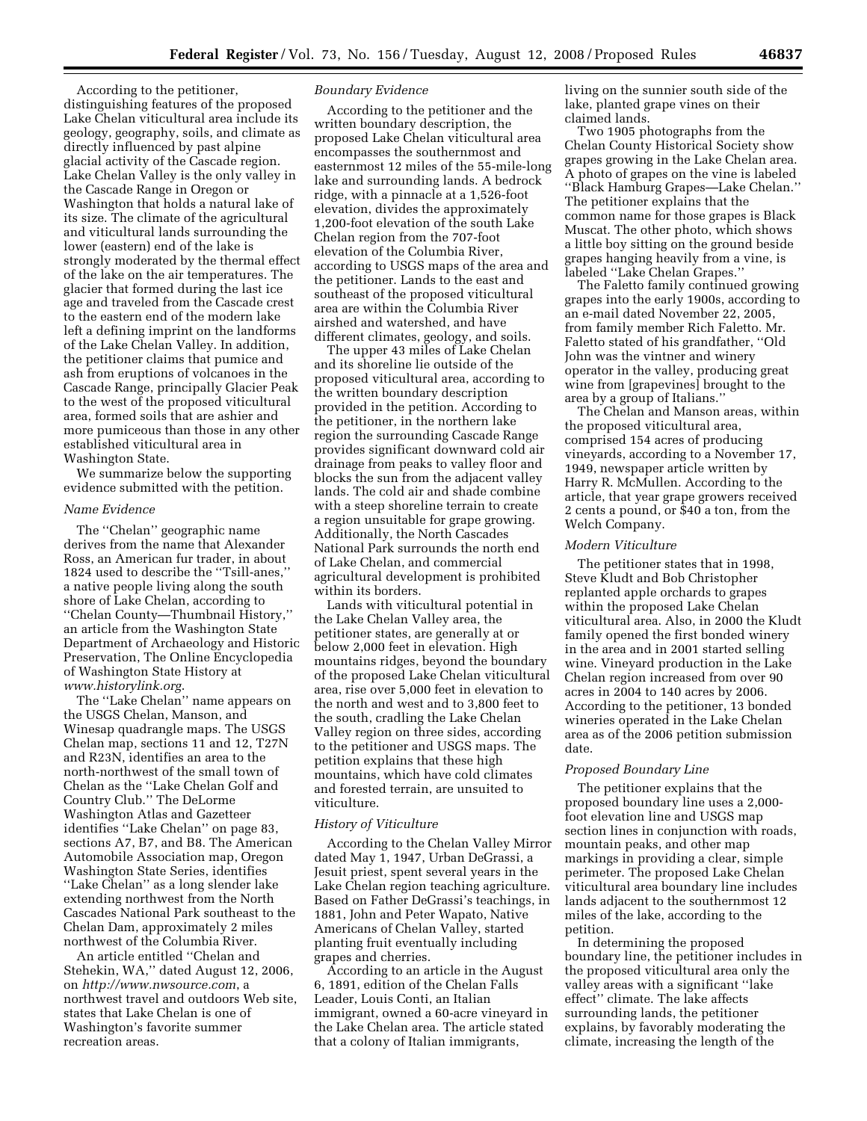According to the petitioner, distinguishing features of the proposed Lake Chelan viticultural area include its geology, geography, soils, and climate as directly influenced by past alpine glacial activity of the Cascade region. Lake Chelan Valley is the only valley in the Cascade Range in Oregon or Washington that holds a natural lake of its size. The climate of the agricultural and viticultural lands surrounding the lower (eastern) end of the lake is strongly moderated by the thermal effect of the lake on the air temperatures. The glacier that formed during the last ice age and traveled from the Cascade crest to the eastern end of the modern lake left a defining imprint on the landforms of the Lake Chelan Valley. In addition, the petitioner claims that pumice and ash from eruptions of volcanoes in the Cascade Range, principally Glacier Peak to the west of the proposed viticultural area, formed soils that are ashier and more pumiceous than those in any other established viticultural area in Washington State.

We summarize below the supporting evidence submitted with the petition.

#### *Name Evidence*

The ''Chelan'' geographic name derives from the name that Alexander Ross, an American fur trader, in about 1824 used to describe the ''Tsill-anes,'' a native people living along the south shore of Lake Chelan, according to ''Chelan County—Thumbnail History,'' an article from the Washington State Department of Archaeology and Historic Preservation, The Online Encyclopedia of Washington State History at *www.historylink.org*.

The ''Lake Chelan'' name appears on the USGS Chelan, Manson, and Winesap quadrangle maps. The USGS Chelan map, sections 11 and 12, T27N and R23N, identifies an area to the north-northwest of the small town of Chelan as the ''Lake Chelan Golf and Country Club.'' The DeLorme Washington Atlas and Gazetteer identifies ''Lake Chelan'' on page 83, sections A7, B7, and B8. The American Automobile Association map, Oregon Washington State Series, identifies ''Lake Chelan'' as a long slender lake extending northwest from the North Cascades National Park southeast to the Chelan Dam, approximately 2 miles northwest of the Columbia River.

An article entitled ''Chelan and Stehekin, WA,'' dated August 12, 2006, on *http://www.nwsource.com*, a northwest travel and outdoors Web site, states that Lake Chelan is one of Washington's favorite summer recreation areas.

#### *Boundary Evidence*

According to the petitioner and the written boundary description, the proposed Lake Chelan viticultural area encompasses the southernmost and easternmost 12 miles of the 55-mile-long lake and surrounding lands. A bedrock ridge, with a pinnacle at a 1,526-foot elevation, divides the approximately 1,200-foot elevation of the south Lake Chelan region from the 707-foot elevation of the Columbia River, according to USGS maps of the area and the petitioner. Lands to the east and southeast of the proposed viticultural area are within the Columbia River airshed and watershed, and have different climates, geology, and soils.

The upper 43 miles of Lake Chelan and its shoreline lie outside of the proposed viticultural area, according to the written boundary description provided in the petition. According to the petitioner, in the northern lake region the surrounding Cascade Range provides significant downward cold air drainage from peaks to valley floor and blocks the sun from the adjacent valley lands. The cold air and shade combine with a steep shoreline terrain to create a region unsuitable for grape growing. Additionally, the North Cascades National Park surrounds the north end of Lake Chelan, and commercial agricultural development is prohibited within its borders.

Lands with viticultural potential in the Lake Chelan Valley area, the petitioner states, are generally at or below 2,000 feet in elevation. High mountains ridges, beyond the boundary of the proposed Lake Chelan viticultural area, rise over 5,000 feet in elevation to the north and west and to 3,800 feet to the south, cradling the Lake Chelan Valley region on three sides, according to the petitioner and USGS maps. The petition explains that these high mountains, which have cold climates and forested terrain, are unsuited to viticulture.

### *History of Viticulture*

According to the Chelan Valley Mirror dated May 1, 1947, Urban DeGrassi, a Jesuit priest, spent several years in the Lake Chelan region teaching agriculture. Based on Father DeGrassi's teachings, in 1881, John and Peter Wapato, Native Americans of Chelan Valley, started planting fruit eventually including grapes and cherries.

According to an article in the August 6, 1891, edition of the Chelan Falls Leader, Louis Conti, an Italian immigrant, owned a 60-acre vineyard in the Lake Chelan area. The article stated that a colony of Italian immigrants,

living on the sunnier south side of the lake, planted grape vines on their claimed lands.

Two 1905 photographs from the Chelan County Historical Society show grapes growing in the Lake Chelan area. A photo of grapes on the vine is labeled ''Black Hamburg Grapes—Lake Chelan.'' The petitioner explains that the common name for those grapes is Black Muscat. The other photo, which shows a little boy sitting on the ground beside grapes hanging heavily from a vine, is labeled ''Lake Chelan Grapes.''

The Faletto family continued growing grapes into the early 1900s, according to an e-mail dated November 22, 2005, from family member Rich Faletto. Mr. Faletto stated of his grandfather, ''Old John was the vintner and winery operator in the valley, producing great wine from [grapevines] brought to the area by a group of Italians.''

The Chelan and Manson areas, within the proposed viticultural area, comprised 154 acres of producing vineyards, according to a November 17, 1949, newspaper article written by Harry R. McMullen. According to the article, that year grape growers received 2 cents a pound, or \$40 a ton, from the Welch Company.

#### *Modern Viticulture*

The petitioner states that in 1998, Steve Kludt and Bob Christopher replanted apple orchards to grapes within the proposed Lake Chelan viticultural area. Also, in 2000 the Kludt family opened the first bonded winery in the area and in 2001 started selling wine. Vineyard production in the Lake Chelan region increased from over 90 acres in 2004 to 140 acres by 2006. According to the petitioner, 13 bonded wineries operated in the Lake Chelan area as of the 2006 petition submission date.

### *Proposed Boundary Line*

The petitioner explains that the proposed boundary line uses a 2,000 foot elevation line and USGS map section lines in conjunction with roads, mountain peaks, and other map markings in providing a clear, simple perimeter. The proposed Lake Chelan viticultural area boundary line includes lands adjacent to the southernmost 12 miles of the lake, according to the petition.

In determining the proposed boundary line, the petitioner includes in the proposed viticultural area only the valley areas with a significant ''lake effect'' climate. The lake affects surrounding lands, the petitioner explains, by favorably moderating the climate, increasing the length of the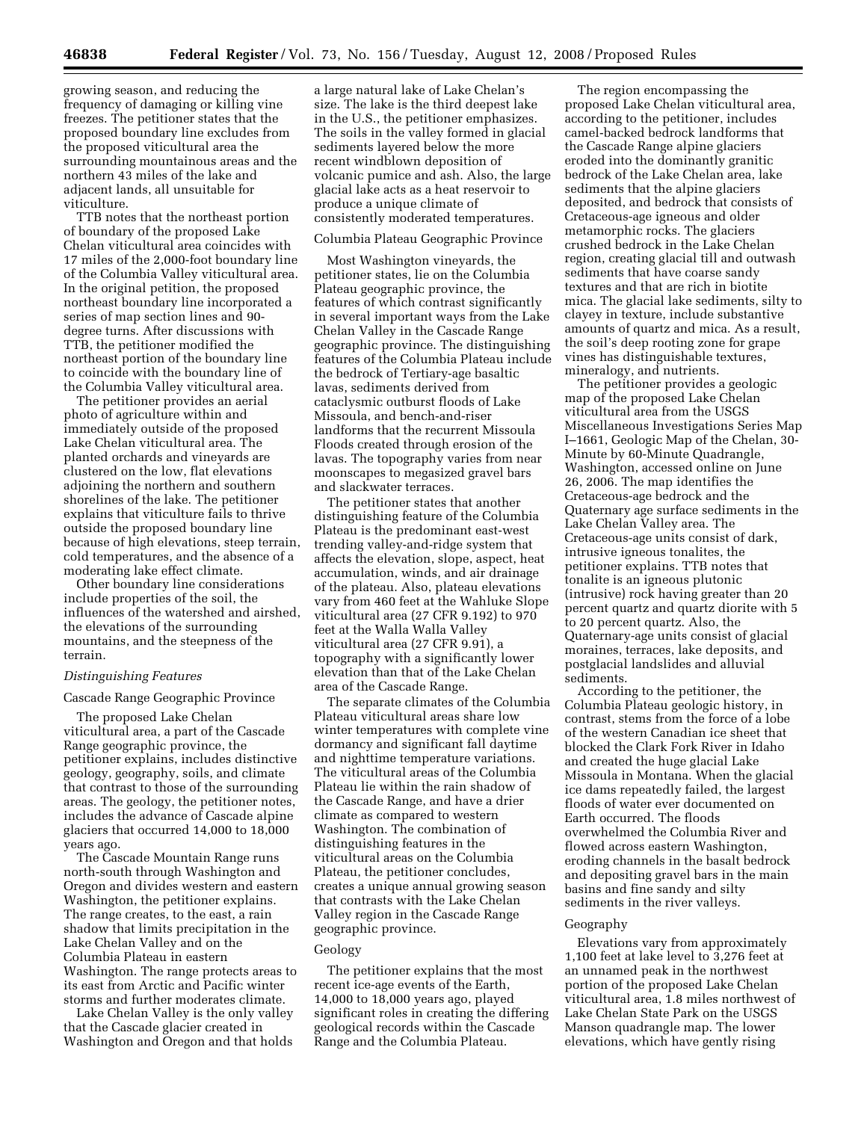growing season, and reducing the frequency of damaging or killing vine freezes. The petitioner states that the proposed boundary line excludes from the proposed viticultural area the surrounding mountainous areas and the northern 43 miles of the lake and adjacent lands, all unsuitable for viticulture.

TTB notes that the northeast portion of boundary of the proposed Lake Chelan viticultural area coincides with 17 miles of the 2,000-foot boundary line of the Columbia Valley viticultural area. In the original petition, the proposed northeast boundary line incorporated a series of map section lines and 90 degree turns. After discussions with TTB, the petitioner modified the northeast portion of the boundary line to coincide with the boundary line of the Columbia Valley viticultural area.

The petitioner provides an aerial photo of agriculture within and immediately outside of the proposed Lake Chelan viticultural area. The planted orchards and vineyards are clustered on the low, flat elevations adjoining the northern and southern shorelines of the lake. The petitioner explains that viticulture fails to thrive outside the proposed boundary line because of high elevations, steep terrain, cold temperatures, and the absence of a moderating lake effect climate.

Other boundary line considerations include properties of the soil, the influences of the watershed and airshed, the elevations of the surrounding mountains, and the steepness of the terrain.

## *Distinguishing Features*

Cascade Range Geographic Province

The proposed Lake Chelan viticultural area, a part of the Cascade Range geographic province, the petitioner explains, includes distinctive geology, geography, soils, and climate that contrast to those of the surrounding areas. The geology, the petitioner notes, includes the advance of Cascade alpine glaciers that occurred 14,000 to 18,000 years ago.

The Cascade Mountain Range runs north-south through Washington and Oregon and divides western and eastern Washington, the petitioner explains. The range creates, to the east, a rain shadow that limits precipitation in the Lake Chelan Valley and on the Columbia Plateau in eastern Washington. The range protects areas to its east from Arctic and Pacific winter storms and further moderates climate.

Lake Chelan Valley is the only valley that the Cascade glacier created in Washington and Oregon and that holds

a large natural lake of Lake Chelan's size. The lake is the third deepest lake in the U.S., the petitioner emphasizes. The soils in the valley formed in glacial sediments layered below the more recent windblown deposition of volcanic pumice and ash. Also, the large glacial lake acts as a heat reservoir to produce a unique climate of consistently moderated temperatures.

## Columbia Plateau Geographic Province

Most Washington vineyards, the petitioner states, lie on the Columbia Plateau geographic province, the features of which contrast significantly in several important ways from the Lake Chelan Valley in the Cascade Range geographic province. The distinguishing features of the Columbia Plateau include the bedrock of Tertiary-age basaltic lavas, sediments derived from cataclysmic outburst floods of Lake Missoula, and bench-and-riser landforms that the recurrent Missoula Floods created through erosion of the lavas. The topography varies from near moonscapes to megasized gravel bars and slackwater terraces.

The petitioner states that another distinguishing feature of the Columbia Plateau is the predominant east-west trending valley-and-ridge system that affects the elevation, slope, aspect, heat accumulation, winds, and air drainage of the plateau. Also, plateau elevations vary from 460 feet at the Wahluke Slope viticultural area (27 CFR 9.192) to 970 feet at the Walla Walla Valley viticultural area (27 CFR 9.91), a topography with a significantly lower elevation than that of the Lake Chelan area of the Cascade Range.

The separate climates of the Columbia Plateau viticultural areas share low winter temperatures with complete vine dormancy and significant fall daytime and nighttime temperature variations. The viticultural areas of the Columbia Plateau lie within the rain shadow of the Cascade Range, and have a drier climate as compared to western Washington. The combination of distinguishing features in the viticultural areas on the Columbia Plateau, the petitioner concludes, creates a unique annual growing season that contrasts with the Lake Chelan Valley region in the Cascade Range geographic province.

### Geology

The petitioner explains that the most recent ice-age events of the Earth, 14,000 to 18,000 years ago, played significant roles in creating the differing geological records within the Cascade Range and the Columbia Plateau.

The region encompassing the proposed Lake Chelan viticultural area, according to the petitioner, includes camel-backed bedrock landforms that the Cascade Range alpine glaciers eroded into the dominantly granitic bedrock of the Lake Chelan area, lake sediments that the alpine glaciers deposited, and bedrock that consists of Cretaceous-age igneous and older metamorphic rocks. The glaciers crushed bedrock in the Lake Chelan region, creating glacial till and outwash sediments that have coarse sandy textures and that are rich in biotite mica. The glacial lake sediments, silty to clayey in texture, include substantive amounts of quartz and mica. As a result, the soil's deep rooting zone for grape vines has distinguishable textures, mineralogy, and nutrients.

The petitioner provides a geologic map of the proposed Lake Chelan viticultural area from the USGS Miscellaneous Investigations Series Map I–1661, Geologic Map of the Chelan, 30- Minute by 60-Minute Quadrangle, Washington, accessed online on June 26, 2006. The map identifies the Cretaceous-age bedrock and the Quaternary age surface sediments in the Lake Chelan Valley area. The Cretaceous-age units consist of dark, intrusive igneous tonalites, the petitioner explains. TTB notes that tonalite is an igneous plutonic (intrusive) rock having greater than 20 percent quartz and quartz diorite with 5 to 20 percent quartz. Also, the Quaternary-age units consist of glacial moraines, terraces, lake deposits, and postglacial landslides and alluvial sediments.

According to the petitioner, the Columbia Plateau geologic history, in contrast, stems from the force of a lobe of the western Canadian ice sheet that blocked the Clark Fork River in Idaho and created the huge glacial Lake Missoula in Montana. When the glacial ice dams repeatedly failed, the largest floods of water ever documented on Earth occurred. The floods overwhelmed the Columbia River and flowed across eastern Washington, eroding channels in the basalt bedrock and depositing gravel bars in the main basins and fine sandy and silty sediments in the river valleys.

### Geography

Elevations vary from approximately 1,100 feet at lake level to 3,276 feet at an unnamed peak in the northwest portion of the proposed Lake Chelan viticultural area, 1.8 miles northwest of Lake Chelan State Park on the USGS Manson quadrangle map. The lower elevations, which have gently rising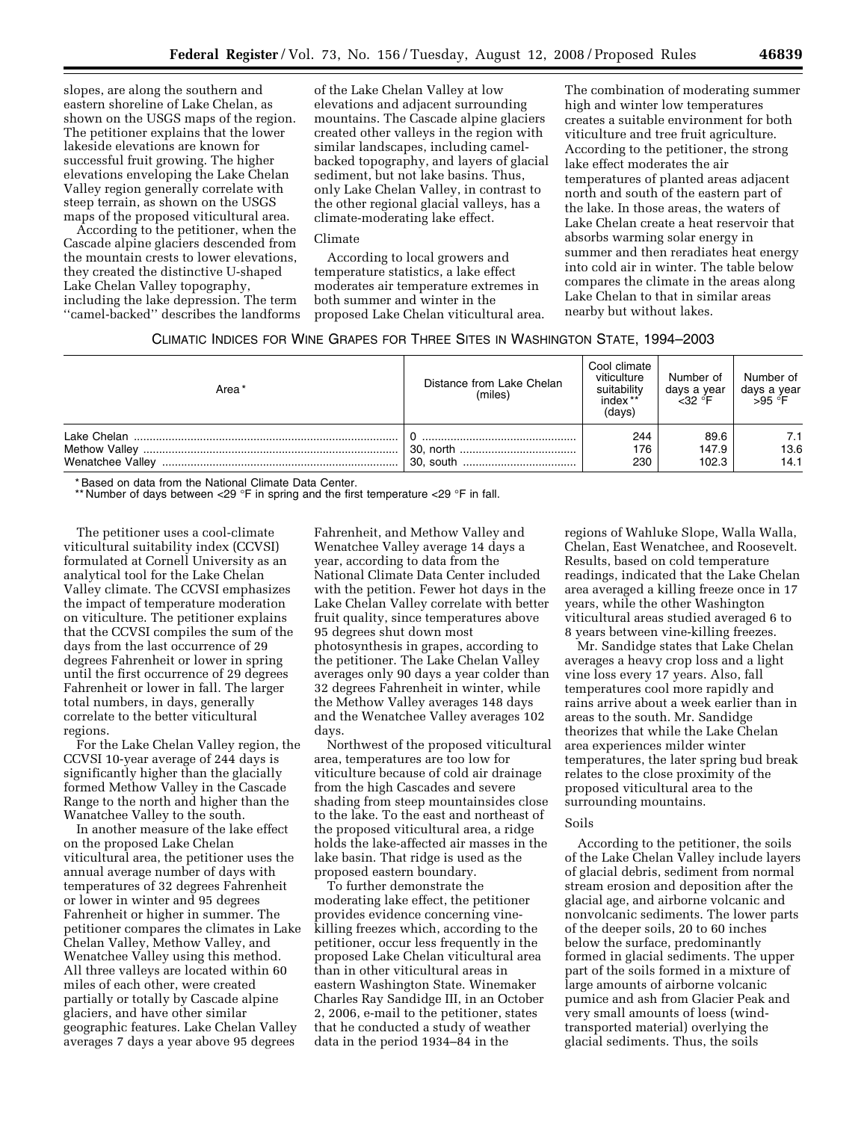slopes, are along the southern and eastern shoreline of Lake Chelan, as shown on the USGS maps of the region. The petitioner explains that the lower lakeside elevations are known for successful fruit growing. The higher elevations enveloping the Lake Chelan Valley region generally correlate with steep terrain, as shown on the USGS maps of the proposed viticultural area.

According to the petitioner, when the Cascade alpine glaciers descended from the mountain crests to lower elevations, they created the distinctive U-shaped Lake Chelan Valley topography, including the lake depression. The term ''camel-backed'' describes the landforms

of the Lake Chelan Valley at low elevations and adjacent surrounding mountains. The Cascade alpine glaciers created other valleys in the region with similar landscapes, including camelbacked topography, and layers of glacial sediment, but not lake basins. Thus, only Lake Chelan Valley, in contrast to the other regional glacial valleys, has a climate-moderating lake effect.

## Climate

According to local growers and temperature statistics, a lake effect moderates air temperature extremes in both summer and winter in the proposed Lake Chelan viticultural area.

The combination of moderating summer high and winter low temperatures creates a suitable environment for both viticulture and tree fruit agriculture. According to the petitioner, the strong lake effect moderates the air temperatures of planted areas adjacent north and south of the eastern part of the lake. In those areas, the waters of Lake Chelan create a heat reservoir that absorbs warming solar energy in summer and then reradiates heat energy into cold air in winter. The table below compares the climate in the areas along Lake Chelan to that in similar areas nearby but without lakes.

| CLIMATIC INDICES FOR WINE GRAPES FOR THREE SITES IN WASHINGTON STATE, 1994–2003 |  |  |  |  |
|---------------------------------------------------------------------------------|--|--|--|--|
|---------------------------------------------------------------------------------|--|--|--|--|

| Area* | Distance from Lake Chelan<br>(miles) | Cool climate<br>viticulture<br>suitability<br>index <sup>**</sup><br>(days) | Number of<br>days a year<br>< 32° | Number of<br>days a year<br>$>95 °F$ |
|-------|--------------------------------------|-----------------------------------------------------------------------------|-----------------------------------|--------------------------------------|
|       |                                      | 244<br>176<br>230                                                           | 89.6<br>147.9<br>102.3            | 7.1<br>13.6<br>14.1                  |

\* Based on data from the National Climate Data Center.

\*\* Number of days between <29 °F in spring and the first temperature <29 °F in fall.

The petitioner uses a cool-climate viticultural suitability index (CCVSI) formulated at Cornell University as an analytical tool for the Lake Chelan Valley climate. The CCVSI emphasizes the impact of temperature moderation on viticulture. The petitioner explains that the CCVSI compiles the sum of the days from the last occurrence of 29 degrees Fahrenheit or lower in spring until the first occurrence of 29 degrees Fahrenheit or lower in fall. The larger total numbers, in days, generally correlate to the better viticultural regions.

For the Lake Chelan Valley region, the CCVSI 10-year average of 244 days is significantly higher than the glacially formed Methow Valley in the Cascade Range to the north and higher than the Wanatchee Valley to the south.

In another measure of the lake effect on the proposed Lake Chelan viticultural area, the petitioner uses the annual average number of days with temperatures of 32 degrees Fahrenheit or lower in winter and 95 degrees Fahrenheit or higher in summer. The petitioner compares the climates in Lake Chelan Valley, Methow Valley, and Wenatchee Valley using this method. All three valleys are located within 60 miles of each other, were created partially or totally by Cascade alpine glaciers, and have other similar geographic features. Lake Chelan Valley averages 7 days a year above 95 degrees

Fahrenheit, and Methow Valley and Wenatchee Valley average 14 days a year, according to data from the National Climate Data Center included with the petition. Fewer hot days in the Lake Chelan Valley correlate with better fruit quality, since temperatures above 95 degrees shut down most photosynthesis in grapes, according to the petitioner. The Lake Chelan Valley averages only 90 days a year colder than 32 degrees Fahrenheit in winter, while the Methow Valley averages 148 days and the Wenatchee Valley averages 102 days.

Northwest of the proposed viticultural area, temperatures are too low for viticulture because of cold air drainage from the high Cascades and severe shading from steep mountainsides close to the lake. To the east and northeast of the proposed viticultural area, a ridge holds the lake-affected air masses in the lake basin. That ridge is used as the proposed eastern boundary.

To further demonstrate the moderating lake effect, the petitioner provides evidence concerning vinekilling freezes which, according to the petitioner, occur less frequently in the proposed Lake Chelan viticultural area than in other viticultural areas in eastern Washington State. Winemaker Charles Ray Sandidge III, in an October 2, 2006, e-mail to the petitioner, states that he conducted a study of weather data in the period 1934–84 in the

regions of Wahluke Slope, Walla Walla, Chelan, East Wenatchee, and Roosevelt. Results, based on cold temperature readings, indicated that the Lake Chelan area averaged a killing freeze once in 17 years, while the other Washington viticultural areas studied averaged 6 to 8 years between vine-killing freezes.

Mr. Sandidge states that Lake Chelan averages a heavy crop loss and a light vine loss every 17 years. Also, fall temperatures cool more rapidly and rains arrive about a week earlier than in areas to the south. Mr. Sandidge theorizes that while the Lake Chelan area experiences milder winter temperatures, the later spring bud break relates to the close proximity of the proposed viticultural area to the surrounding mountains.

#### Soils

According to the petitioner, the soils of the Lake Chelan Valley include layers of glacial debris, sediment from normal stream erosion and deposition after the glacial age, and airborne volcanic and nonvolcanic sediments. The lower parts of the deeper soils, 20 to 60 inches below the surface, predominantly formed in glacial sediments. The upper part of the soils formed in a mixture of large amounts of airborne volcanic pumice and ash from Glacier Peak and very small amounts of loess (windtransported material) overlying the glacial sediments. Thus, the soils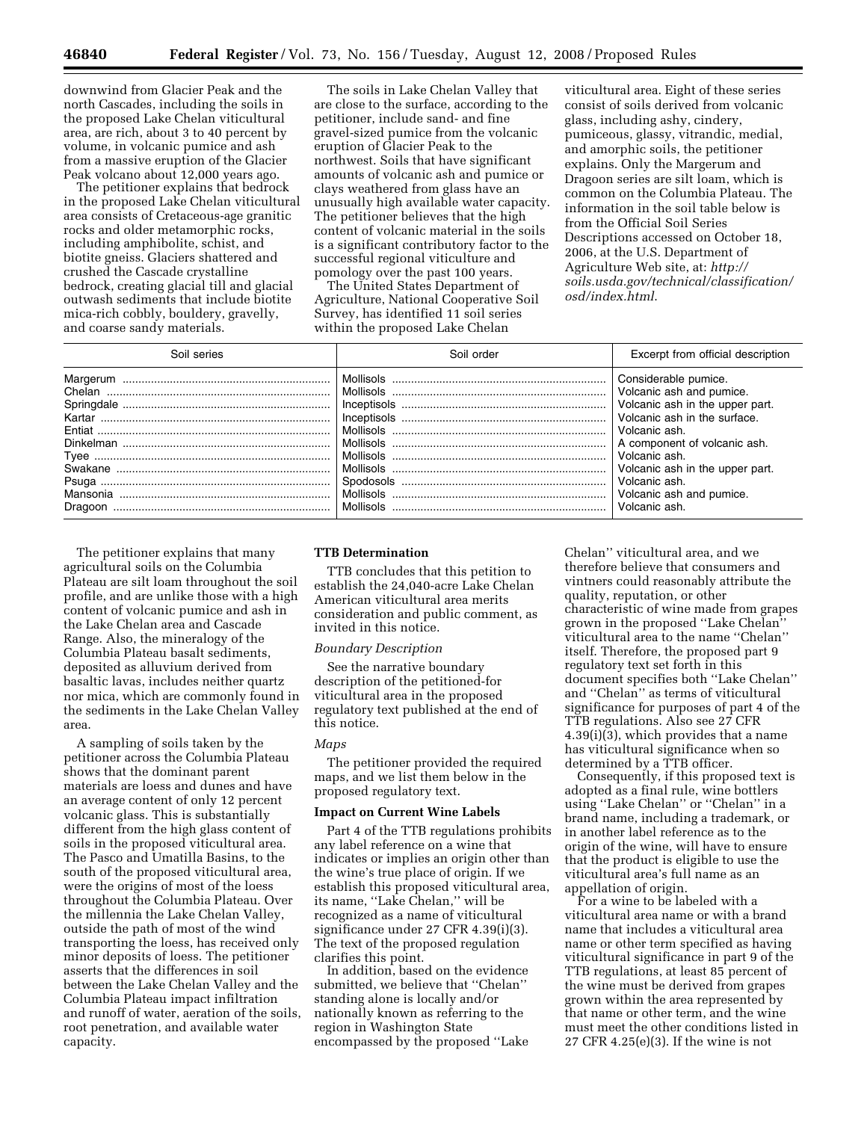downwind from Glacier Peak and the north Cascades, including the soils in the proposed Lake Chelan viticultural area, are rich, about 3 to 40 percent by volume, in volcanic pumice and ash from a massive eruption of the Glacier Peak volcano about 12,000 years ago.

The petitioner explains that bedrock in the proposed Lake Chelan viticultural area consists of Cretaceous-age granitic rocks and older metamorphic rocks, including amphibolite, schist, and biotite gneiss. Glaciers shattered and crushed the Cascade crystalline bedrock, creating glacial till and glacial outwash sediments that include biotite mica-rich cobbly, bouldery, gravelly, and coarse sandy materials.

The soils in Lake Chelan Valley that are close to the surface, according to the petitioner, include sand- and fine gravel-sized pumice from the volcanic eruption of Glacier Peak to the northwest. Soils that have significant amounts of volcanic ash and pumice or clays weathered from glass have an unusually high available water capacity. The petitioner believes that the high content of volcanic material in the soils is a significant contributory factor to the successful regional viticulture and pomology over the past 100 years.

The United States Department of Agriculture, National Cooperative Soil Survey, has identified 11 soil series within the proposed Lake Chelan

viticultural area. Eight of these series consist of soils derived from volcanic glass, including ashy, cindery, pumiceous, glassy, vitrandic, medial, and amorphic soils, the petitioner explains. Only the Margerum and Dragoon series are silt loam, which is common on the Columbia Plateau. The information in the soil table below is from the Official Soil Series Descriptions accessed on October 18, 2006, at the U.S. Department of Agriculture Web site, at: *http:// soils.usda.gov/technical/classification/ osd/index.html*.

| Soil series     | Soil order | Excerpt from official description                                                                                                                                                                                                                                                      |
|-----------------|------------|----------------------------------------------------------------------------------------------------------------------------------------------------------------------------------------------------------------------------------------------------------------------------------------|
| Tyee<br>Swakane | Mollisols  | Considerable pumice.<br>Volcanic ash and pumice.<br>Volcanic ash in the upper part.<br>Volcanic ash in the surface.<br>Volcanic ash.<br>A component of volcanic ash.<br>Volcanic ash.<br>Volcanic ash in the upper part.<br>Volcanic ash.<br>Volcanic ash and pumice.<br>Volcanic ash. |

The petitioner explains that many agricultural soils on the Columbia Plateau are silt loam throughout the soil profile, and are unlike those with a high content of volcanic pumice and ash in the Lake Chelan area and Cascade Range. Also, the mineralogy of the Columbia Plateau basalt sediments, deposited as alluvium derived from basaltic lavas, includes neither quartz nor mica, which are commonly found in the sediments in the Lake Chelan Valley area.

A sampling of soils taken by the petitioner across the Columbia Plateau shows that the dominant parent materials are loess and dunes and have an average content of only 12 percent volcanic glass. This is substantially different from the high glass content of soils in the proposed viticultural area. The Pasco and Umatilla Basins, to the south of the proposed viticultural area, were the origins of most of the loess throughout the Columbia Plateau. Over the millennia the Lake Chelan Valley, outside the path of most of the wind transporting the loess, has received only minor deposits of loess. The petitioner asserts that the differences in soil between the Lake Chelan Valley and the Columbia Plateau impact infiltration and runoff of water, aeration of the soils, root penetration, and available water capacity.

### **TTB Determination**

TTB concludes that this petition to establish the 24,040-acre Lake Chelan American viticultural area merits consideration and public comment, as invited in this notice.

#### *Boundary Description*

See the narrative boundary description of the petitioned-for viticultural area in the proposed regulatory text published at the end of this notice.

# *Maps*

The petitioner provided the required maps, and we list them below in the proposed regulatory text.

#### **Impact on Current Wine Labels**

Part 4 of the TTB regulations prohibits any label reference on a wine that indicates or implies an origin other than the wine's true place of origin. If we establish this proposed viticultural area, its name, ''Lake Chelan,'' will be recognized as a name of viticultural significance under 27 CFR 4.39(i)(3). The text of the proposed regulation clarifies this point.

In addition, based on the evidence submitted, we believe that ''Chelan'' standing alone is locally and/or nationally known as referring to the region in Washington State encompassed by the proposed ''Lake

Chelan'' viticultural area, and we therefore believe that consumers and vintners could reasonably attribute the quality, reputation, or other characteristic of wine made from grapes grown in the proposed ''Lake Chelan'' viticultural area to the name ''Chelan'' itself. Therefore, the proposed part 9 regulatory text set forth in this document specifies both ''Lake Chelan'' and ''Chelan'' as terms of viticultural significance for purposes of part 4 of the TTB regulations. Also see 27 CFR 4.39(i)(3), which provides that a name has viticultural significance when so determined by a TTB officer.

Consequently, if this proposed text is adopted as a final rule, wine bottlers using ''Lake Chelan'' or ''Chelan'' in a brand name, including a trademark, or in another label reference as to the origin of the wine, will have to ensure that the product is eligible to use the viticultural area's full name as an appellation of origin.

For a wine to be labeled with a viticultural area name or with a brand name that includes a viticultural area name or other term specified as having viticultural significance in part 9 of the TTB regulations, at least 85 percent of the wine must be derived from grapes grown within the area represented by that name or other term, and the wine must meet the other conditions listed in 27 CFR 4.25(e)(3). If the wine is not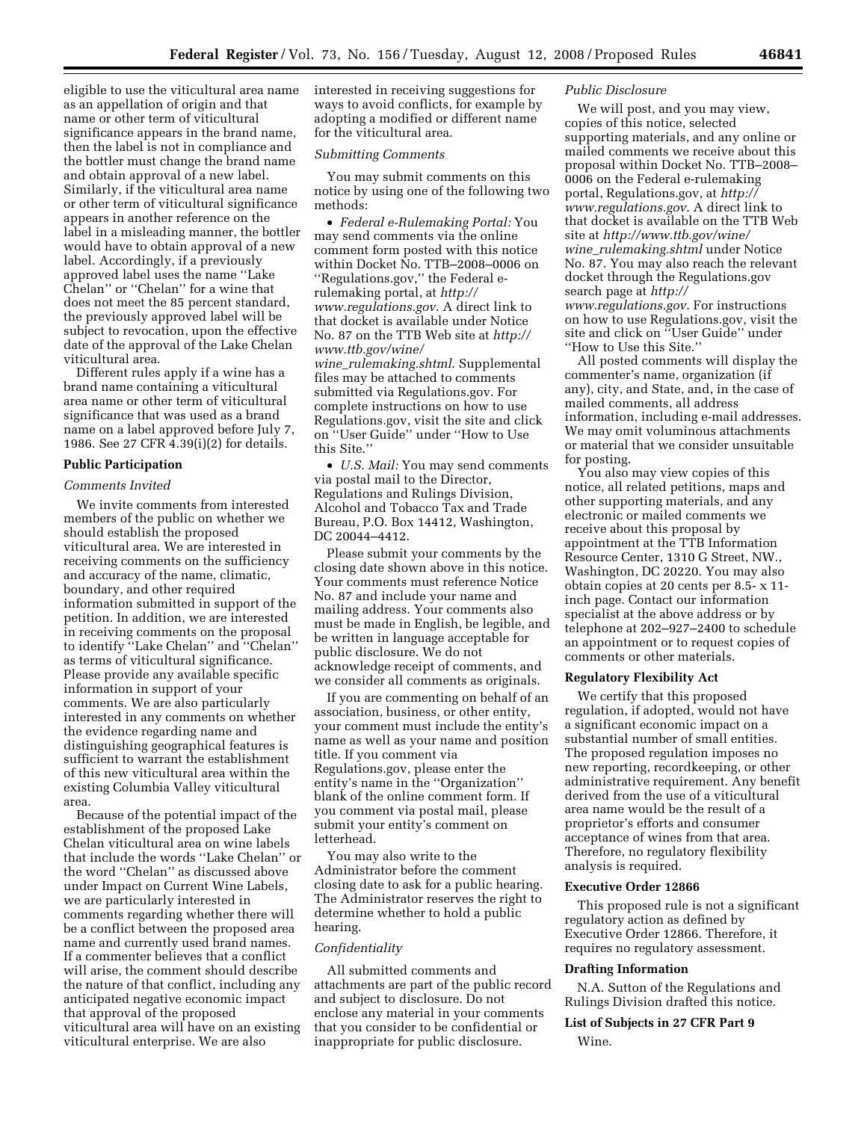eligible to use the viticultural area name as an appellation of origin and that name or other term of viticultural significance appears in the brand name, then the label is not in compliance and the bottler must change the brand name and obtain approval of a new label. Similarly, if the viticultural area name or other term of viticultural significance appears in another reference on the label in a misleading manner, the bottler would have to obtain approval of a new label. Accordingly, if a previously approved label uses the name ''Lake Chelan'' or ''Chelan'' for a wine that does not meet the 85 percent standard, the previously approved label will be subject to revocation, upon the effective date of the approval of the Lake Chelan viticultural area.

Different rules apply if a wine has a brand name containing a viticultural area name or other term of viticultural significance that was used as a brand name on a label approved before July 7, 1986. See 27 CFR 4.39(i)(2) for details.

### **Public Participation**

### *Comments Invited*

We invite comments from interested members of the public on whether we should establish the proposed viticultural area. We are interested in receiving comments on the sufficiency and accuracy of the name, climatic, boundary, and other required information submitted in support of the petition. In addition, we are interested in receiving comments on the proposal to identify ''Lake Chelan'' and ''Chelan'' as terms of viticultural significance. Please provide any available specific information in support of your comments. We are also particularly interested in any comments on whether the evidence regarding name and distinguishing geographical features is sufficient to warrant the establishment of this new viticultural area within the existing Columbia Valley viticultural area.

Because of the potential impact of the establishment of the proposed Lake Chelan viticultural area on wine labels that include the words ''Lake Chelan'' or the word ''Chelan'' as discussed above under Impact on Current Wine Labels, we are particularly interested in comments regarding whether there will be a conflict between the proposed area name and currently used brand names. If a commenter believes that a conflict will arise, the comment should describe the nature of that conflict, including any anticipated negative economic impact that approval of the proposed viticultural area will have on an existing viticultural enterprise. We are also

interested in receiving suggestions for ways to avoid conflicts, for example by adopting a modified or different name for the viticultural area.

### *Submitting Comments*

You may submit comments on this notice by using one of the following two methods:

• *Federal e-Rulemaking Portal:* You may send comments via the online comment form posted with this notice within Docket No. TTB–2008–0006 on ''Regulations.gov,'' the Federal erulemaking portal, at *http:// www.regulations.gov*. A direct link to that docket is available under Notice No. 87 on the TTB Web site at *http:// www.ttb.gov/wine/ wine*\_*rulemaking.shtml*. Supplemental files may be attached to comments submitted via Regulations.gov. For complete instructions on how to use

Regulations.gov, visit the site and click on ''User Guide'' under ''How to Use this Site.''

• *U.S. Mail:* You may send comments via postal mail to the Director, Regulations and Rulings Division, Alcohol and Tobacco Tax and Trade Bureau, P.O. Box 14412, Washington, DC 20044–4412.

Please submit your comments by the closing date shown above in this notice. Your comments must reference Notice No. 87 and include your name and mailing address. Your comments also must be made in English, be legible, and be written in language acceptable for public disclosure. We do not acknowledge receipt of comments, and we consider all comments as originals.

If you are commenting on behalf of an association, business, or other entity, your comment must include the entity's name as well as your name and position title. If you comment via Regulations.gov, please enter the entity's name in the ''Organization'' blank of the online comment form. If you comment via postal mail, please submit your entity's comment on letterhead.

You may also write to the Administrator before the comment closing date to ask for a public hearing. The Administrator reserves the right to determine whether to hold a public hearing.

### *Confidentiality*

All submitted comments and attachments are part of the public record and subject to disclosure. Do not enclose any material in your comments that you consider to be confidential or inappropriate for public disclosure.

### *Public Disclosure*

We will post, and you may view, copies of this notice, selected supporting materials, and any online or mailed comments we receive about this proposal within Docket No. TTB–2008– 0006 on the Federal e-rulemaking portal, Regulations.gov, at *http:// www.regulations.gov*. A direct link to that docket is available on the TTB Web site at *http://www.ttb.gov/wine/ wine*\_*rulemaking.shtml* under Notice No. 87. You may also reach the relevant docket through the Regulations.gov search page at *http:// www.regulations.gov*. For instructions on how to use Regulations.gov, visit the site and click on ''User Guide'' under ''How to Use this Site.''

All posted comments will display the commenter's name, organization (if any), city, and State, and, in the case of mailed comments, all address information, including e-mail addresses. We may omit voluminous attachments or material that we consider unsuitable for posting.

You also may view copies of this notice, all related petitions, maps and other supporting materials, and any electronic or mailed comments we receive about this proposal by appointment at the TTB Information Resource Center, 1310 G Street, NW., Washington, DC 20220. You may also obtain copies at 20 cents per 8.5- x 11 inch page. Contact our information specialist at the above address or by telephone at 202–927–2400 to schedule an appointment or to request copies of comments or other materials.

## **Regulatory Flexibility Act**

We certify that this proposed regulation, if adopted, would not have a significant economic impact on a substantial number of small entities. The proposed regulation imposes no new reporting, recordkeeping, or other administrative requirement. Any benefit derived from the use of a viticultural area name would be the result of a proprietor's efforts and consumer acceptance of wines from that area. Therefore, no regulatory flexibility analysis is required.

### **Executive Order 12866**

This proposed rule is not a significant regulatory action as defined by Executive Order 12866. Therefore, it requires no regulatory assessment.

#### **Drafting Information**

N.A. Sutton of the Regulations and Rulings Division drafted this notice.

## **List of Subjects in 27 CFR Part 9**

Wine.